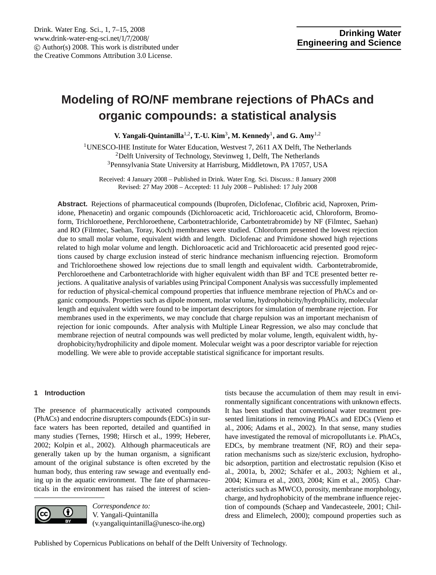# <span id="page-0-0"></span>**Modeling of RO/NF membrane rejections of PhACs and organic compounds: a statistical analysis**

**V. Yangali-Quintanilla<sup>1,2</sup>, T.-U. Kim<sup>3</sup>, M. Kennedy<sup>1</sup>, and G. Amy<sup>1,2</sup>** 

<sup>1</sup>UNESCO-IHE Institute for Water Education, Westvest 7, 2611 AX Delft, The Netherlands <sup>2</sup>Delft University of Technology, Stevinweg 1, Delft, The Netherlands <sup>3</sup>Pennsylvania State University at Harrisburg, Middletown, PA 17057, USA

Received: 4 January 2008 – Published in Drink. Water Eng. Sci. Discuss.: 8 January 2008 Revised: 27 May 2008 – Accepted: 11 July 2008 – Published: 17 July 2008

**Abstract.** Rejections of pharmaceutical compounds (Ibuprofen, Diclofenac, Clofibric acid, Naproxen, Primidone, Phenacetin) and organic compounds (Dichloroacetic acid, Trichloroacetic acid, Chloroform, Bromoform, Trichloroethene, Perchloroethene, Carbontetrachloride, Carbontetrabromide) by NF (Filmtec, Saehan) and RO (Filmtec, Saehan, Toray, Koch) membranes were studied. Chloroform presented the lowest rejection due to small molar volume, equivalent width and length. Diclofenac and Primidone showed high rejections related to high molar volume and length. Dichloroacetic acid and Trichloroacetic acid presented good rejections caused by charge exclusion instead of steric hindrance mechanism influencing rejection. Bromoform and Trichloroethene showed low rejections due to small length and equivalent width. Carbontetrabromide, Perchloroethene and Carbontetrachloride with higher equivalent width than BF and TCE presented better rejections. A qualitative analysis of variables using Principal Component Analysis was successfully implemented for reduction of physical-chemical compound properties that influence membrane rejection of PhACs and organic compounds. Properties such as dipole moment, molar volume, hydrophobicity/hydrophilicity, molecular length and equivalent width were found to be important descriptors for simulation of membrane rejection. For membranes used in the experiments, we may conclude that charge repulsion was an important mechanism of rejection for ionic compounds. After analysis with Multiple Linear Regression, we also may conclude that membrane rejection of neutral compounds was well predicted by molar volume, length, equivalent width, hydrophobicity/hydrophilicity and dipole moment. Molecular weight was a poor descriptor variable for rejection modelling. We were able to provide acceptable statistical significance for important results.

# **1 Introduction**

The presence of pharmaceutically activated compounds (PhACs) and endocrine disrupters compounds (EDCs) in surface waters has been reported, detailed and quantified in many studies (Ternes, 1998; Hirsch et al., 1999; Heberer, 2002; Kolpin et al., 2002). Although pharmaceuticals are generally taken up by the human organism, a significant amount of the original substance is often excreted by the human body, thus entering raw sewage and eventually ending up in the aquatic environment. The fate of pharmaceuticals in the environment has raised the interest of scien-



*Correspondence to:* V. Yangali-Quintanilla (v.yangaliquintanilla@unesco-ihe.org) tists because the accumulation of them may result in environmentally significant concentrations with unknown effects. It has been studied that conventional water treatment presented limitations in removing PhACs and EDCs (Vieno et al., 2006; Adams et al., 2002). In that sense, many studies have investigated the removal of micropollutants i.e. PhACs, EDCs, by membrane treatment (NF, RO) and their separation mechanisms such as size/steric exclusion, hydrophobic adsorption, partition and electrostatic repulsion (Kiso et al., 2001a, b, 2002; Schäfer et al., 2003; Nghiem et al., 2004; Kimura et al., 2003, 2004; Kim et al., 2005). Characteristics such as MWCO, porosity, membrane morphology, charge, and hydrophobicity of the membrane influence rejection of compounds (Schaep and Vandecasteele, 2001; Childress and Elimelech, 2000); compound properties such as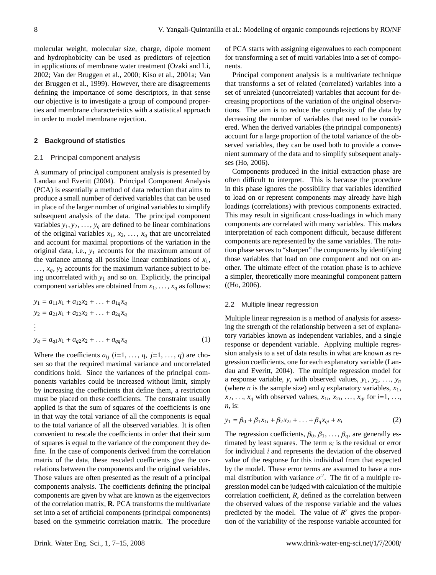molecular weight, molecular size, charge, dipole moment and hydrophobicity can be used as predictors of rejection in applications of membrane water treatment (Ozaki and Li, 2002; Van der Bruggen et al., 2000; Kiso et al., 2001a; Van der Bruggen et al., 1999). However, there are disagreements defining the importance of some descriptors, in that sense our objective is to investigate a group of compound properties and membrane characteristics with a statistical approach in order to model membrane rejection.

## **2 Background of statistics**

#### 2.1 Principal component analysis

A summary of principal component analysis is presented by Landau and Everitt (2004). Principal Component Analysis (PCA) is essentially a method of data reduction that aims to produce a small number of derived variables that can be used in place of the larger number of original variables to simplify subsequent analysis of the data. The principal component variables  $y_1, y_2, \ldots, y_q$  are defined to be linear combinations of the original variables  $x_1, x_2, \ldots, x_q$  that are uncorrelated and account for maximal proportions of the variation in the original data, i.e., *y*<sup>1</sup> accounts for the maximum amount of the variance among all possible linear combinations of  $x_1$ ,  $..., x_q, y_2$  accounts for the maximum variance subject to being uncorrelated with *y*<sup>1</sup> and so on. Explicitly, the principal component variables are obtained from  $x_1, \ldots, x_q$  as follows:

$$
y_1 = a_{11}x_1 + a_{12}x_2 + \dots + a_{1q}x_q
$$
  
\n
$$
y_2 = a_{21}x_1 + a_{22}x_2 + \dots + a_{2q}x_q
$$
  
\n:  
\n
$$
y_q = a_{q1}x_1 + a_{q2}x_2 + \dots + a_{qq}x_q
$$
  
\n(1)

Where the coefficients  $a_{ij}$  ( $i=1, \ldots, q, j=1, \ldots, q$ ) are chosen so that the required maximal variance and uncorrelated conditions hold. Since the variances of the principal components variables could be increased without limit, simply by increasing the coefficients that define them, a restriction must be placed on these coefficients. The constraint usually applied is that the sum of squares of the coefficients is one in that way the total variance of all the components is equal to the total variance of all the observed variables. It is often convenient to rescale the coefficients in order that their sum of squares is equal to the variance of the component they define. In the case of components derived from the correlation matrix of the data, these rescaled coefficients give the correlations between the components and the original variables. Those values are often presented as the result of a principal components analysis. The coefficients defining the principal components are given by what are known as the eigenvectors of the correlation matrix, **R**. PCA transforms the multivariate set into a set of artificial components (principal components) based on the symmetric correlation matrix. The procedure of PCA starts with assigning eigenvalues to each component for transforming a set of multi variables into a set of components.

Principal component analysis is a multivariate technique that transforms a set of related (correlated) variables into a set of unrelated (uncorrelated) variables that account for decreasing proportions of the variation of the original observations. The aim is to reduce the complexity of the data by decreasing the number of variables that need to be considered. When the derived variables (the principal components) account for a large proportion of the total variance of the observed variables, they can be used both to provide a convenient summary of the data and to simplify subsequent analyses (Ho, 2006).

Components produced in the initial extraction phase are often difficult to interpret. This is because the procedure in this phase ignores the possibility that variables identified to load on or represent components may already have high loadings (correlations) with previous components extracted. This may result in significant cross-loadings in which many components are correlated with many variables. This makes interpretation of each component difficult, because different components are represented by the same variables. The rotation phase serves to "sharpen" the components by identifying those variables that load on one component and not on another. The ultimate effect of the rotation phase is to achieve a simpler, theoretically more meaningful component pattern ((Ho, 2006).

## 2.2 Multiple linear regression

Multiple linear regression is a method of analysis for assessing the strength of the relationship between a set of explanatory variables known as independent variables, and a single response or dependent variable. Applying multiple regression analysis to a set of data results in what are known as regression coefficients, one for each explanatory variable (Landau and Everitt, 2004). The multiple regression model for a response variable, *y*, with observed values,  $y_1, y_2, \ldots, y_n$ (where *n* is the sample size) and *q* explanatory variables,  $x_1$ ,  $x_2, \ldots, x_q$  with observed values,  $x_{1i}, x_{2i}, \ldots, x_{qi}$  for  $i=1, \ldots, n$  is: *n*, is:

$$
y_1 = \beta_0 + \beta_1 x_{1i} + \beta_2 x_{2i} + \ldots + \beta_q x_{qi} + \varepsilon_i
$$
 (2)

The regression coefficients,  $\beta_0$ ,  $\beta_1$ , ...,  $\beta_q$ , are generally estimated by least squares. The term  $\varepsilon_i$  is the residual or error<br>for individual *i* and represents the deviation of the observed for individual *i* and represents the deviation of the observed value of the response for this individual from that expected by the model. These error terms are assumed to have a normal distribution with variance  $\sigma^2$ . The fit of a multiple regression model can be judged with calculation of the multiple gression model can be judged with calculation of the multiple correlation coefficient, *R*, defined as the correlation between the observed values of the response variable and the values predicted by the model. The value of  $R^2$  gives the proportion of the variability of the response variable accounted for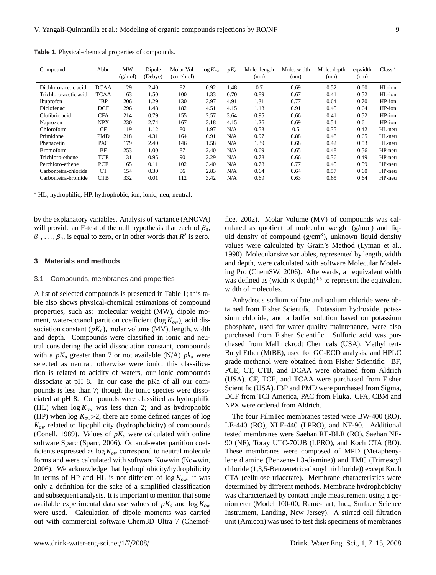| Compound              | Abbr.       | MW<br>(g/mol) | Dipole<br>(Debye) | Molar Vol.<br>(cm <sup>3</sup> /mol) | $\log K_{ow}$ | $pK_a$ | Mole. length<br>(nm) | Mole, width<br>(nm) | Mole. depth<br>(nm) | eqwidth<br>(nm) | $Class.$ <sup>*</sup> |
|-----------------------|-------------|---------------|-------------------|--------------------------------------|---------------|--------|----------------------|---------------------|---------------------|-----------------|-----------------------|
| Dichloro-acetic acid  | <b>DCAA</b> | 129           | 2.40              | 82                                   | 0.92          | 1.48   | 0.7                  | 0.69                | 0.52                | 0.60            | HL-ion                |
| Trichloro-acetic acid | <b>TCAA</b> | 163           | 1.50              | 100                                  | 1.33          | 0.70   | 0.89                 | 0.67                | 0.41                | 0.52            | $HI$ <sub>-ion</sub>  |
| Ibuprofen             | <b>IBP</b>  | 206           | 1.29              | 130                                  | 3.97          | 4.91   | 1.31                 | 0.77                | 0.64                | 0.70            | $HP$ -ion             |
| <b>Diclofenac</b>     | <b>DCF</b>  | 296           | 1.48              | 182                                  | 4.51          | 4.15   | 1.13                 | 0.91                | 0.45                | 0.64            | HP-ion                |
| Clofibric acid        | <b>CFA</b>  | 214           | 0.79              | 155                                  | 2.57          | 3.64   | 0.95                 | 0.66                | 0.41                | 0.52            | HP-ion                |
| Naproxen              | <b>NPX</b>  | 230           | 2.74              | 167                                  | 3.18          | 4.15   | 1.26                 | 0.69                | 0.54                | 0.61            | HP-ion                |
| Chloroform            | CF          | 119           | 1.12              | 80                                   | 1.97          | N/A    | 0.53                 | 0.5                 | 0.35                | 0.42            | HL-neu                |
| Primidone             | <b>PMD</b>  | 218           | 4.31              | 164                                  | 0.91          | N/A    | 0.97                 | 0.88                | 0.48                | 0.65            | HL-neu                |
| Phenacetin            | PAC         | 179           | 2.40              | 146                                  | 1.58          | N/A    | 1.39                 | 0.68                | 0.42                | 0.53            | HL-neu                |
| <b>Bromoform</b>      | BF          | 253           | 1.00              | 87                                   | 2.40          | N/A    | 0.69                 | 0.65                | 0.48                | 0.56            | HP-neu                |
| Trichloro-ethene      | TCE         | 131           | 0.95              | 90                                   | 2.29          | N/A    | 0.78                 | 0.66                | 0.36                | 0.49            | HP-neu                |
| Perchloro-ethene      | <b>PCE</b>  | 165           | 0.11              | 102                                  | 3.40          | N/A    | 0.78                 | 0.77                | 0.45                | 0.59            | HP-neu                |
| Carbontetra-chloride  | <b>CT</b>   | 154           | 0.30              | 96                                   | 2.83          | N/A    | 0.64                 | 0.64                | 0.57                | 0.60            | HP-neu                |
| Carbontetra-bromide   | <b>CTB</b>  | 332           | 0.01              | 112                                  | 3.42          | N/A    | 0.69                 | 0.63                | 0.65                | 0.64            | HP-neu                |

**Table 1.** Physical-chemical properties of compounds.

<sup>∗</sup> HL, hydrophilic; HP, hydrophobic; ion, ionic; neu, neutral.

by the explanatory variables. Analysis of variance (ANOVA) will provide an F-test of the null hypothesis that each of  $\beta_0$ ,  $\beta_1, \ldots, \beta_q$ , is equal to zero, or in other words that  $R^2$  is zero.

## **3 Materials and methods**

#### 3.1 Compounds, membranes and properties

A list of selected compounds is presented in Table 1; this table also shows physical-chemical estimations of compound properties, such as: molecular weight (MW), dipole moment, water-octanol partition coefficient (log *Kow*), acid dissociation constant  $(pK_a)$ , molar volume (MV), length, width and depth. Compounds were classified in ionic and neutral considering the acid dissociation constant, compounds with a  $pK_a$  greater than 7 or not available (N/A)  $pk_a$  were selected as neutral, otherwise were ionic, this classification is related to acidity of waters, our ionic compounds dissociate at pH 8. In our case the pKa of all our compounds is less than 7; though the ionic species were dissociated at pH 8. Compounds were classified as hydrophilic (HL) when  $\log K_{ow}$  was less than 2; and as hydrophobic (HP) when  $\log K_{ow}$  > 2, there are some defined ranges of  $\log$ *Kow* related to lipophilicity (hydrophobicity) of compounds (Conell, 1989). Values of  $pK_a$  were calculated with online software Sparc (Sparc, 2006). Octanol-water partition coefficients expressed as log *Kow* correspond to neutral molecule forms and were calculated with software Kowwin (Kowwin, 2006). We acknowledge that hydrophobicity/hydrophilicity in terms of HP and HL is not different of  $\log K_{ow}$ , it was only a definition for the sake of a simplified classification and subsequent analysis. It is important to mention that some available experimental database values of *pK<sup>a</sup>* and log *Kow* were used. Calculation of dipole moments was carried out with commercial software Chem3D Ultra 7 (Chemoffice, 2002). Molar Volume (MV) of compounds was calculated as quotient of molecular weight (g/mol) and liquid density of compound  $(g/cm<sup>3</sup>)$ , unknown liquid density values were calculated by Grain's Method (Lyman et al., 1990). Molecular size variables, represented by length, width and depth, were calculated with software Molecular Modeling Pro (ChemSW, 2006). Afterwards, an equivalent width was defined as (width  $\times$  depth)<sup>0.5</sup> to represent the equivalent width of molecules.

Anhydrous sodium sulfate and sodium chloride were obtained from Fisher Scientific. Potassium hydroxide, potassium chloride, and a buffer solution based on potassium phosphate, used for water quality maintenance, were also purchased from Fisher Scientific. Sulfuric acid was purchased from Mallinckrodt Chemicals (USA). Methyl tert-Butyl Ether (MtBE), used for GC-ECD analysis, and HPLC grade methanol were obtained from Fisher Scientific. BF, PCE, CT, CTB, and DCAA were obtained from Aldrich (USA). CF, TCE, and TCAA were purchased from Fisher Scientific (USA). IBP and PMD were purchased from Sigma, DCF from TCI America, PAC from Fluka. CFA, CBM and NPX were ordered from Aldrich.

The four FilmTec membranes tested were BW-400 (RO), LE-440 (RO), XLE-440 (LPRO), and NF-90. Additional tested membranes were Saehan RE-BLR (RO), Saehan NE-90 (NF), Toray UTC-70UB (LPRO), and Koch CTA (RO). These membranes were composed of MPD (Metaphenylene diamine (Benzene-1,3-diamine)) and TMC (Trimesoyl chloride (1,3,5-Benzenetricarbonyl trichloride)) except Koch CTA (cellulose triacetate). Membrane characteristics were determined by different methods. Membrane hydrophobicity was characterized by contact angle measurement using a goniometer (Model 100-00, Rame-hart, Inc., Surface Science ´ Instrument, Landing, New Jersey). A stirred cell filtration unit (Amicon) was used to test disk specimens of membranes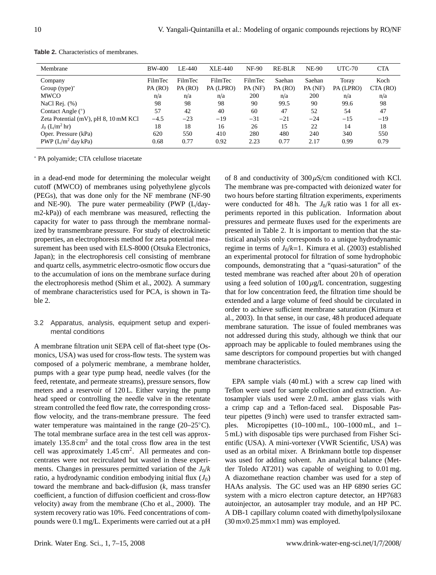| Membrane                                      | <b>BW-400</b>      | LE-440             | <b>XLE-440</b>       | <b>NF-90</b>       | RE-BLR            | <b>NE-90</b>      | <b>UTC-70</b>      | <b>CTA</b>       |
|-----------------------------------------------|--------------------|--------------------|----------------------|--------------------|-------------------|-------------------|--------------------|------------------|
| Company                                       | FilmTec<br>PA (RO) | FilmTec<br>PA (RO) | FilmTec<br>PA (LPRO) | FilmTec<br>PA (NF) | Saehan<br>PA (RO) | Saehan<br>PA (NF) | Toray<br>PA (LPRO) | Koch<br>CTA (RO) |
| Group $(type)^*$<br><b>MWCO</b>               | n/a                | n/a                | n/a                  | 200                | n/a               | 200               | n/a                | n/a              |
| NaCl Rej. $(\%)$                              | 98                 | 98                 | 98                   | 90                 | 99.5              | 90                | 99.6               | 98               |
| Contact Angle $(°)$                           | 57                 | 42                 | 40                   | 60                 | 47                | 52                | 54                 | 47               |
| Zeta Potential (mV), pH 8, 10 mM KCl          | $-4.5$             | $-23$              | $-19$                | $-31$              | $-21$             | $-24$             | $-15$              | $-19$            |
| $J_0$ (L/m <sup>2</sup> hr)                   | 18                 | 18                 | 16                   | 26                 | 15                | 22                | 14                 | 18               |
| Oper. Pressure (kPa)<br>PWP $(L/m^2$ day kPa) | 620<br>0.68        | 550<br>0.77        | 410<br>0.92          | 280<br>2.23        | 480<br>0.77       | 240<br>2.17       | 340<br>0.99        | 550<br>0.79      |

**Table 2.** Characteristics of membranes.

<sup>∗</sup> PA polyamide; CTA celullose triacetate

in a dead-end mode for determining the molecular weight cutoff (MWCO) of membranes using polyethylene glycols (PEGs), that was done only for the NF membrane (NF-90 and NE-90). The pure water permeability (PWP (L/daym2-kPa)) of each membrane was measured, reflecting the capacity for water to pass through the membrane normalized by transmembrane pressure. For study of electrokinetic properties, an electrophoresis method for zeta potential measurement has been used with ELS-8000 (Otsuka Electronics, Japan); in the electrophoresis cell consisting of membrane and quartz cells, asymmetric electro-osmotic flow occurs due to the accumulation of ions on the membrane surface during the electrophoresis method (Shim et al., 2002). A summary of membrane characteristics used for PCA, is shown in Table 2.

# 3.2 Apparatus, analysis, equipment setup and experimental conditions

A membrane filtration unit SEPA cell of flat-sheet type (Osmonics, USA) was used for cross-flow tests. The system was composed of a polymeric membrane, a membrane holder, pumps with a gear type pump head, needle valves (for the feed, retentate, and permeate streams), pressure sensors, flow meters and a reservoir of 120 L. Either varying the pump head speed or controlling the needle valve in the retentate stream controlled the feed flow rate, the corresponding crossflow velocity, and the trans-membrane pressure. The feed water temperature was maintained in the range (20–25<sup>°</sup>C). The total membrane surface area in the test cell was approximately  $135.8 \text{ cm}^2$  and the total cross flow area in the test cell was approximately  $1.45 \text{ cm}^2$ . All permeates and concentrates were not recirculated but wasted in these experiments. Changes in pressures permitted variation of the  $J_0/k$ ratio, a hydrodynamic condition embodying initial flux  $(J_0)$ toward the membrane and back-diffusion (*k*, mass transfer coefficient, a function of diffusion coefficient and cross-flow velocity) away from the membrane (Cho et al., 2000). The system recovery ratio was 10%. Feed concentrations of compounds were 0.1 mg/L. Experiments were carried out at a pH

of 8 and conductivity of  $300 \mu$ S/cm conditioned with KCl. The membrane was pre-compacted with deionized water for two hours before starting filtration experiments, experiments were conducted for 48 h. The  $J_0/k$  ratio was 1 for all experiments reported in this publication. Information about pressures and permeate fluxes used for the experiments are presented in Table 2. It is important to mention that the statistical analysis only corresponds to a unique hydrodynamic regime in terms of  $J_0/k=1$ . Kimura et al. (2003) established an experimental protocol for filtration of some hydrophobic compounds, demonstrating that a "quasi-saturation" of the tested membrane was reached after about 20 h of operation using a feed solution of  $100 \mu g/L$  concentration, suggesting that for low concentration feed, the filtration time should be extended and a large volume of feed should be circulated in order to achieve sufficient membrane saturation (Kimura et al., 2003). In that sense, in our case, 48 h produced adequate membrane saturation. The issue of fouled membranes was not addressed during this study, although we think that our approach may be applicable to fouled membranes using the same descriptors for compound properties but with changed membrane characteristics.

EPA sample vials (40 mL) with a screw cap lined with Teflon were used for sample collection and extraction. Autosampler vials used were 2.0 mL amber glass vials with a crimp cap and a Teflon-faced seal. Disposable Pasteur pipettes (9 inch) were used to transfer extracted samples. Micropipettes (10–100 mL, 100–1000 mL, and 1– 5 mL) with disposable tips were purchased from Fisher Scientific (USA). A mini-vortexer (VWR Scientific, USA) was used as an orbital mixer. A Brinkmann bottle top dispenser was used for adding solvent. An analytical balance (Mettler Toledo AT201) was capable of weighing to 0.01 mg. A diazomethane reaction chamber was used for a step of HAAs analysis. The GC used was an HP 6890 series GC system with a micro electron capture detector, an HP7683 autoinjector, an autosampler tray module, and an HP PC. A DB-1 capillary column coated with dimethylpolysiloxane (30 m×0.25 mm×1 mm) was employed.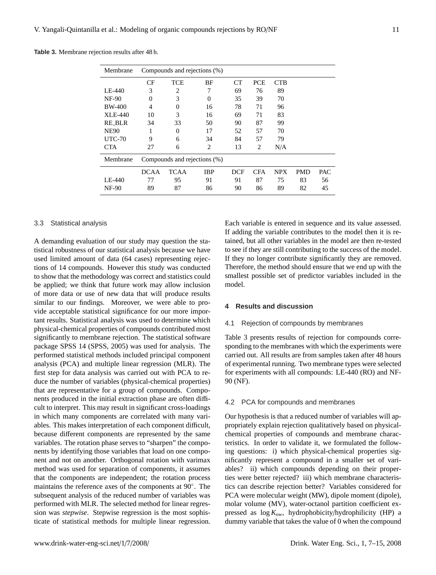| Membrane      | Compounds and rejections (%) |                |                              |            |            |            |            |     |  |
|---------------|------------------------------|----------------|------------------------------|------------|------------|------------|------------|-----|--|
|               | CF                           | <b>TCE</b>     | BF                           | <b>CT</b>  | <b>PCE</b> | <b>CTB</b> |            |     |  |
| LE-440        | 3                            | $\overline{2}$ | 7                            | 69         | 76         | 89         |            |     |  |
| <b>NF-90</b>  | $\theta$                     | 3              | 0                            | 35         | 39         | 70         |            |     |  |
| <b>BW-400</b> | 4                            | $\Omega$       | 16                           | 78         | 71         | 96         |            |     |  |
| XLE-440       | 10                           | 3              | 16                           | 69         | 71         | 83         |            |     |  |
| <b>RE BLR</b> | 34                           | 33             | 50                           | 90         | 87         | 99         |            |     |  |
| <b>NE90</b>   |                              | $\theta$       | 17                           | 52         | 57         | 70         |            |     |  |
| <b>UTC-70</b> | 9                            | 6              | 34                           | 84         | 57         | 79         |            |     |  |
| <b>CTA</b>    | 27                           | 6              | 2                            | 13         | 2          | N/A        |            |     |  |
| Membrane      |                              |                | Compounds and rejections (%) |            |            |            |            |     |  |
|               | <b>DCAA</b>                  | <b>TCAA</b>    | <b>IBP</b>                   | <b>DCF</b> | <b>CFA</b> | <b>NPX</b> | <b>PMD</b> | PAC |  |
| LE-440        | 77                           | 95             | 91                           | 91         | 87         | 75         | 83         | 56  |  |
| <b>NF-90</b>  | 89                           | 87             | 86                           | 90         | 86         | 89         | 82         | 45  |  |

**Table 3.** Membrane rejection results after 48 h.

# 3.3 Statistical analysis

A demanding evaluation of our study may question the statistical robustness of our statistical analysis because we have used limited amount of data (64 cases) representing rejections of 14 compounds. However this study was conducted to show that the methodology was correct and statistics could be applied; we think that future work may allow inclusion of more data or use of new data that will produce results similar to our findings. Moreover, we were able to provide acceptable statistical significance for our more important results. Statistical analysis was used to determine which physical-chemical properties of compounds contributed most significantly to membrane rejection. The statistical software package SPSS 14 (SPSS, 2005) was used for analysis. The performed statistical methods included principal component analysis (PCA) and multiple linear regression (MLR). The first step for data analysis was carried out with PCA to reduce the number of variables (physical-chemical properties) that are representative for a group of compounds. Components produced in the initial extraction phase are often difficult to interpret. This may result in significant cross-loadings in which many components are correlated with many variables. This makes interpretation of each component difficult, because different components are represented by the same variables. The rotation phase serves to "sharpen" the components by identifying those variables that load on one component and not on another. Orthogonal rotation with varimax method was used for separation of components, it assumes that the components are independent; the rotation process maintains the reference axes of the components at 90◦ . The subsequent analysis of the reduced number of variables was performed with MLR. The selected method for linear regression was *stepwise*. Stepwise regression is the most sophisticate of statistical methods for multiple linear regression. Each variable is entered in sequence and its value assessed. If adding the variable contributes to the model then it is retained, but all other variables in the model are then re-tested to see if they are still contributing to the success of the model. If they no longer contribute significantly they are removed. Therefore, the method should ensure that we end up with the smallest possible set of predictor variables included in the model.

## **4 Results and discussion**

## 4.1 Rejection of compounds by membranes

Table 3 presents results of rejection for compounds corresponding to the membranes with which the experiments were carried out. All results are from samples taken after 48 hours of experimental running. Two membrane types were selected for experiments with all compounds: LE-440 (RO) and NF-90 (NF).

# 4.2 PCA for compounds and membranes

Our hypothesis is that a reduced number of variables will appropriately explain rejection qualitatively based on physicalchemical properties of compounds and membrane characteristics. In order to validate it, we formulated the following questions: i) which physical-chemical properties significantly represent a compound in a smaller set of variables? ii) which compounds depending on their properties were better rejected? iii) which membrane characteristics can describe rejection better? Variables considered for PCA were molecular weight (MW), dipole moment (dipole), molar volume (MV), water-octanol partition coefficient expressed as log *Kow*, hydrophobicity/hydrophilicity (HP) a dummy variable that takes the value of 0 when the compound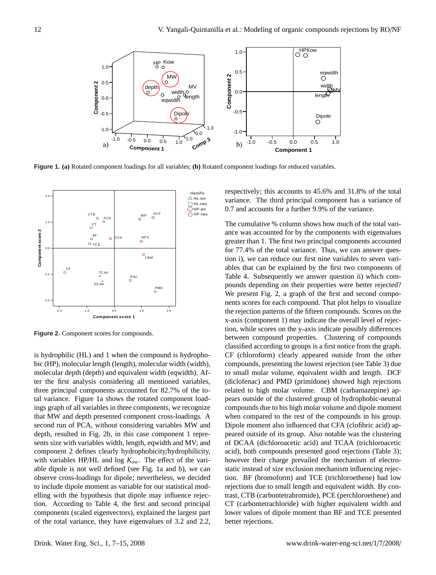

Figure 1. (a) Rotated component loadings for all variables; (b) Rotated component loadings for reduced variables.



**Figure 2.** Component scores for compounds.

is hydrophilic (HL) and 1 when the compound is hydrophobic (HP), molecular length (length), molecular width (width), molecular depth (depth) and equivalent width (eqwidth). After the first analysis considering all mentioned variables, three principal components accounted for 82.7% of the total variance. Figure 1a shows the rotated component loadings graph of all variables in three components, we recognize that MW and depth presented component cross-loadings. A second run of PCA, without considering variables MW and depth, resulted in Fig. 2b, in this case component 1 represents size with variables width, length, eqwidth and MV; and component 2 defines clearly hydrophobicity/hydrophilicity, with variables HP/HL and log *Kow*. The effect of the variable dipole is not well defined (see Fig. 1a and b), we can observe cross-loadings for dipole; nevertheless, we decided to include dipole moment as variable for our statistical modelling with the hypothesis that dipole may influence rejection. According to Table 4, the first and second principal components (scaled eigenvectors), explained the largest part of the total variance, they have eigenvalues of 3.2 and 2.2,

0.7 and accounts for a further 9.9% of the variance. variance. The third principal component has a variance of respectively; this accounts to 45.6% and 31.8% of the total

compounds, presenting the lowest rejection (see Table 3) due x-axis (component 1) may indicate the overall level of rejecfor 77.4% of the total variance. Thus, we can answer quesance was accounted for by the components with eigenvalues pounds depending on their properties were better rejected? to small molar volume, equivalent width and length. DCF The cumulative % column shows how much of the total varigreater than 1. The first two principal components accounted tion i), we can reduce our first nine variables to seven variables that can be explained by the first two components of Table 4. Subsequently we answer question ii) which com-We present Fig. 2, a graph of the first and second components scores for each compound. That plot helps to visualize the rejection patterns of the fifteen compounds. Scores on the tion, while scores on the y-axis indicate possibly differences between compound properties. Clustering of compounds classified according to groups is a first notice from the graph. CF (chloroform) clearly appeared outside from the other (diclofenac) and PMD (primidone) showed high rejections related to high molar volume. CBM (carbamazepine) appears outside of the clustered group of hydrophobic-neutral compounds due to his high molar volume and dipole moment when compared to the rest of the compounds in his group. Dipole moment also influenced that CFA (clofibric acid) appeared outside of its group. Also notable was the clustering of DCAA (dichloroacetic acid) and TCAA (trichloroacetic acid), both compounds presented good rejections (Table 3); however their charge prevailed the mechanism of electrostatic instead of size exclusion mechanism influencing rejection. BF (bromoform) and TCE (trichloroethene) had low rejections due to small length and equivalent width. By contrast, CTB (carbontetrabromide), PCE (perchloroethene) and CT (carbontetrachloride) with higher equivalent width and lower values of dipole moment than BF and TCE presented better rejections.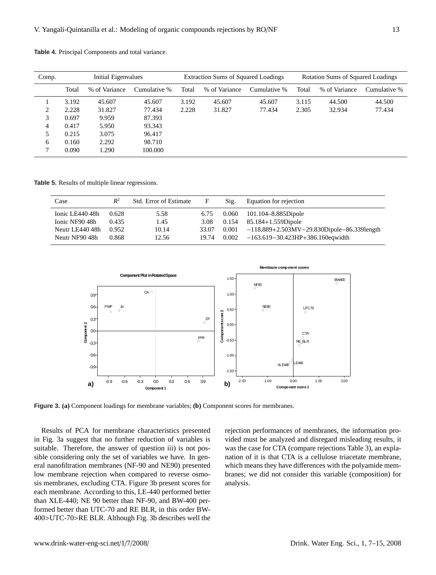| Comp. | Initial Eigenvalues |               |              |       | <b>Extraction Sums of Squared Loadings</b> |              | <b>Rotation Sums of Squared Loadings</b> |               |              |  |
|-------|---------------------|---------------|--------------|-------|--------------------------------------------|--------------|------------------------------------------|---------------|--------------|--|
|       | Total               | % of Variance | Cumulative % | Total | % of Variance                              | Cumulative % | Total                                    | % of Variance | Cumulative % |  |
|       | 3.192               | 45.607        | 45.607       | 3.192 | 45.607                                     | 45.607       | 3.115                                    | 44.500        | 44.500       |  |
| 2     | 2.228               | 31.827        | 77.434       | 2.228 | 31.827                                     | 77.434       | 2.305                                    | 32.934        | 77.434       |  |
| 3     | 0.697               | 9.959         | 87.393       |       |                                            |              |                                          |               |              |  |
| 4     | 0.417               | 5.950         | 93.343       |       |                                            |              |                                          |               |              |  |
| 5     | 0.215               | 3.075         | 96.417       |       |                                            |              |                                          |               |              |  |
| 6     | 0.160               | 2.292         | 98.710       |       |                                            |              |                                          |               |              |  |
| 7     | 0.090               | 1.290         | 100.000      |       |                                            |              |                                          |               |              |  |

**Table 4.** Principal Components and total variance.

**Table 5.** Results of multiple linear regressions.

| Case            | $R^2$ | <b>Std.</b> Error of Estimate | F     | Sig.  | Equation for rejection                             |
|-----------------|-------|-------------------------------|-------|-------|----------------------------------------------------|
| Ionic LE440 48h | 0.628 | 5.58                          | 6.75  | 0.060 | 101.104–8.885Dipole                                |
| Ionic NF90 48h  | 0.435 | 1.45                          | 3.08  | 0.154 | 85.184+1.559Dipole                                 |
| Neutr LE440 48h | 0.952 | 10.14                         | 33.07 | 0.001 | $-118.889 + 2.503MV - 29.830Dipole - 86.339length$ |
| Neutr NF90 48h  | 0.868 | 12.56                         | 19.74 | 0.002 | $-163.619 - 30.423HP + 386.160$ equid th           |

Neutr NF90 48h 0.868 12.56 12.56 12.56 12.56 12.56 12.56 12.56 12.56 12.56 12.56 12.56 12.56 12.56 13.56 13.56



*Figure 3. a) Component loadings for membrane variables; b) Component scores for membranes.*  **Figure 3. (a)** Component loadings for membrane variables; **(b)** Component scores for membranes.

CF TCE <sup>400</sup>>UTC-70>RE BLR. Although Fig. 3b describes well the suitable. Therefore, the answer of question iii) is not possible considering only the set of variables we have. In genlow membrane rejection when compared to reverse osmosis membranes, excluding CTA. Figure 3b present scores for Results of PCA for membrane characteristics presented in Fig. 3a suggest that no further reduction of variables is eral nanofiltration membranes (NF-90 and NE90) presented each membrane. According to this, LE-440 performed better than XLE-440; NE 90 better than NF-90, and BW-400 performed better than UTC-70 and RE BLR, in this order BW-

was the case for CTA (compare rejections Table 3), an explanation of it is that CTA is a cellulose triacetate membrane, which means they have differences with the polyamide membranes; we did not consider this variable (composition) for rejection performances of membranes, the information provided must be analyzed and disregard misleading results, it analysis.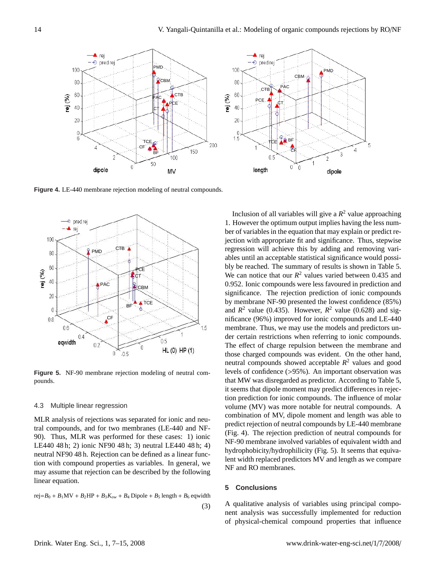

**Figure 4.** LE-440 membrane rejection modeling of neutral compounds.



**Figure 5.** NF-90 membrane rejection modeling of neutral compounds.

#### 4.3 Multiple linear regression

a compounds, and for two memoranes  $(LE^{-440}$  and  $NF^-$  (Fig. 4). The rejection prediction of these cases: 1) ionic  $NF^0$  and  $NF^+$ LE440 48 h; 2) ionic NF90 48 h; 3) neutral LE440 48 h; 4) NF-90 membrane involved variation of PhaCs and PhaCs and PhaCs and PhaCs and PhaCs and PhaCs and PhaCs and PhaCs and Physics and Physics and Physics and Physics an neutral NF90 48 h. Rejection can be defined as a linear func-<br>hydrophobicity/hydrophilicity tion with compound properties as variables. In general, we in the matter of predictors for  $\frac{1}{2}$ may assume that rejection can be described by the following **EXP** and NO includednes. imear equation. The compounds of regeneration for intervals we conclude to be a position of  $\epsilon$ . Conclusions of  $\epsilon$ MLR analysis of rejections was separated for ionic and neutral compounds, and for two membranes (LE-440 and NFlinear equation.

rej= $B_0 + B_1$ MV +  $B_2$ HP +  $B_3K_{ow} + B_4$  Dipole +  $B_5$  length +  $B_6$  eqwidth  $\mathcal{C}_1$  A qualitative analysis of variables using principal compo-(3)

bly be reached. The summary of results is shown in Table 5. Inclusion of all variables will give a  $R^2$  value approaching 1. However the optimum output implies having the less number of variables in the equation that may explain or predict rejection with appropriate fit and significance. Thus, stepwise regression will achieve this by adding and removing variables until an acceptable statistical significance would possi-We can notice that our  $R^2$  values varied between 0.435 and 0.952. Ionic compounds were less favoured in prediction and significance. The rejection prediction of ionic compounds by membrane NF-90 presented the lowest confidence (85%) and  $R^2$  value (0.435). However,  $R^2$  value (0.628) and significance (96%) improved for ionic compounds and LE-440 membrane. Thus, we may use the models and predictors under certain restrictions when referring to ionic compounds. The effect of charge repulsion between the membrane and those charged compounds was evident. On the other hand, neutral compounds showed acceptable *R* <sup>2</sup> values and good levels of confidence (>95%). An important observation was that MW was disregarded as predictor. According to Table 5, it seems that dipole moment may predict differences in rejection prediction for ionic compounds. The influence of molar volume (MV) was more notable for neutral compounds. A combination of MV, dipole moment and length was able to predict rejection of neutral compounds by LE-440 membrane (Fig. 4). The rejection prediction of neutral compounds for NF-90 membrane involved variables of equivalent width and hydrophobicity/hydrophilicity (Fig. 5). It seems that equivalent width replaced predictors MV and length as we compare NF and RO membranes.

## **5 Conclusions**

nent analysis was successfully implemented for reduction of physical-chemical compound properties that influence